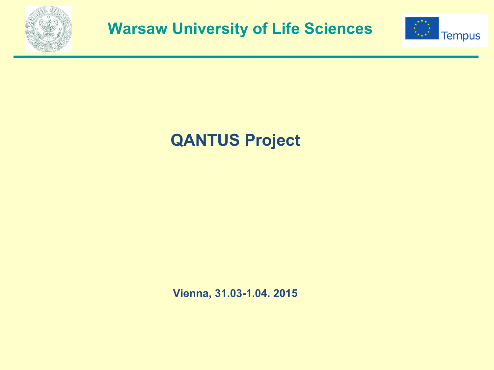



# **QANTUS Project**

**Vienna, 31.03-1.04. 2015**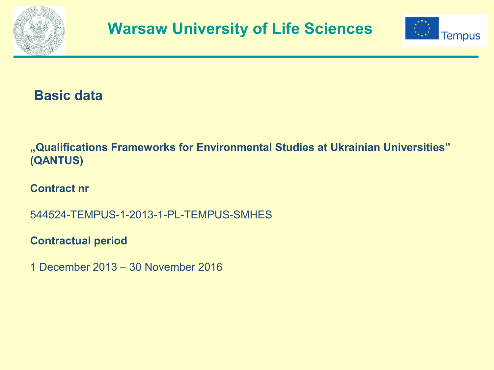



**Basic data**

**"Qualifications Frameworks for Environmental Studies at Ukrainian Universities" (QANTUS)**

**Contract nr** 

544524-TEMPUS-1-2013-1-PL-TEMPUS-SMHES

**Contractual period** 

1 December 2013 – 30 November 2016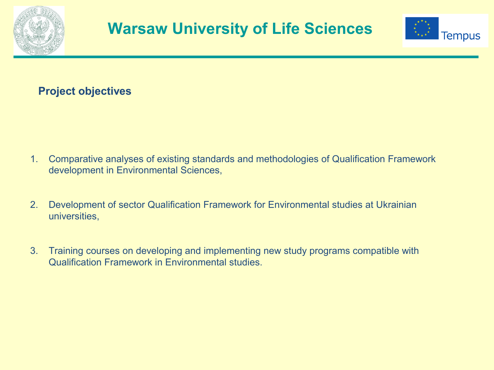



### **Project objectives**

- 1. Comparative analyses of existing standards and methodologies of Qualification Framework development in Environmental Sciences,
- 2. Development of sector Qualification Framework for Environmental studies at Ukrainian universities,
- 3. Training courses on developing and implementing new study programs compatible with Qualification Framework in Environmental studies.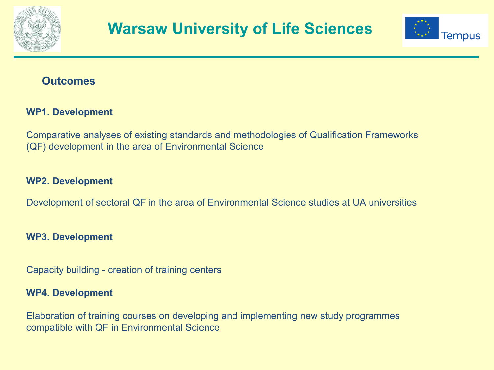



### **Outcomes**

#### **WP1. Development**

Comparative analyses of existing standards and methodologies of Qualification Frameworks (QF) development in the area of Environmental Science

#### **WP2. Development**

Development of sectoral QF in the area of Environmental Science studies at UA universities

#### **WP3. Development**

Capacity building - creation of training centers

#### **WP4. Development**

Elaboration of training courses on developing and implementing new study programmes compatible with QF in Environmental Science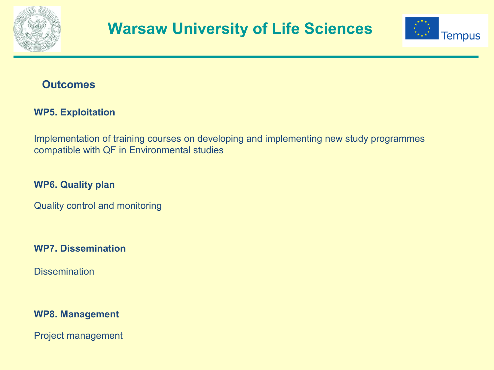



### **Outcomes**

#### **WP5. Exploitation**

Implementation of training courses on developing and implementing new study programmes compatible with QF in Environmental studies

**WP6. Quality plan**

Quality control and monitoring

**WP7. Dissemination**

**Dissemination** 

#### **WP8. Management**

Project management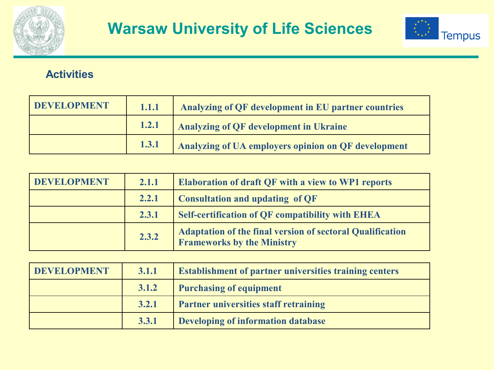



### **Activities**

| DEVELOPMENT | 1.1.1 | Analyzing of QF development in EU partner countries |
|-------------|-------|-----------------------------------------------------|
|             |       | 1.2.1 Analyzing of QF development in Ukraine        |
|             | 1.3.1 | Analyzing of UA employers opinion on QF development |

| <b>DEVELOPMENT</b> | 2.1.1 | <b>Elaboration of draft QF with a view to WP1 reports</b>                                             |
|--------------------|-------|-------------------------------------------------------------------------------------------------------|
|                    | 2.2.1 | <b>Consultation and updating of QF</b>                                                                |
|                    | 2.3.1 | <b>Self-certification of QF compatibility with EHEA</b>                                               |
|                    | 2.3.2 | <b>Adaptation of the final version of sectoral Qualification</b><br><b>Frameworks by the Ministry</b> |

| DEVELOPMENT | 3.1.1 | <b>Establishment of partner universities training centers</b> |  |
|-------------|-------|---------------------------------------------------------------|--|
|             | 3.1.2 | <b>Purchasing of equipment</b>                                |  |
|             | 3.2.1 | <b>Partner universities staff retraining</b>                  |  |
|             | 3.3.1 | Developing of information database                            |  |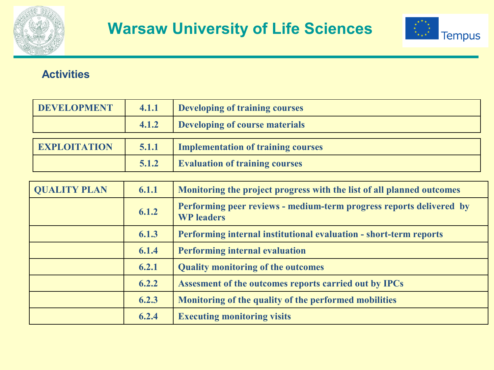



### **Activities**

| <b>DEVELOPMENT</b>  | 4.1.1 | Developing of training courses        |
|---------------------|-------|---------------------------------------|
|                     | 4.1.2 | Developing of course materials        |
|                     |       |                                       |
| <b>EXPLOITATION</b> | 5.1.1 | Implementation of training courses    |
|                     | 5.1.2 | <b>Evaluation of training courses</b> |

| <b>QUALITY PLAN</b> | 6.1.1 | Monitoring the project progress with the list of all planned outcomes                    |
|---------------------|-------|------------------------------------------------------------------------------------------|
|                     | 6.1.2 | Performing peer reviews - medium-term progress reports delivered by<br><b>WP</b> leaders |
|                     | 6.1.3 | Performing internal institutional evaluation - short-term reports                        |
|                     | 6.1.4 | <b>Performing internal evaluation</b>                                                    |
|                     | 6.2.1 | <b>Quality monitoring of the outcomes</b>                                                |
|                     | 6.2.2 | Assesment of the outcomes reports carried out by IPCs                                    |
|                     | 6.2.3 | Monitoring of the quality of the performed mobilities                                    |
|                     | 6.2.4 | <b>Executing monitoring visits</b>                                                       |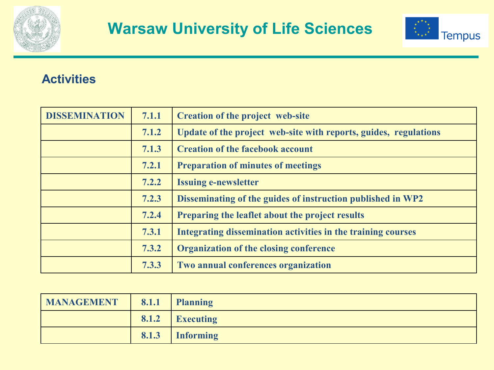



# **Activities**

| <b>DISSEMINATION</b> | 7.1.1 | <b>Creation of the project web-site</b>                          |
|----------------------|-------|------------------------------------------------------------------|
|                      | 7.1.2 | Update of the project web-site with reports, guides, regulations |
|                      | 7.1.3 | <b>Creation of the facebook account</b>                          |
|                      | 7.2.1 | <b>Preparation of minutes of meetings</b>                        |
|                      | 7.2.2 | <b>Issuing e-newsletter</b>                                      |
|                      | 7.2.3 | Disseminating of the guides of instruction published in WP2      |
|                      | 7.2.4 | Preparing the leaflet about the project results                  |
|                      | 7.3.1 | Integrating dissemination activities in the training courses     |
|                      | 7.3.2 | <b>Organization of the closing conference</b>                    |
|                      | 7.3.3 | Two annual conferences organization                              |

| MANAGEMENT   8.1.1 Planning |                 |
|-----------------------------|-----------------|
|                             | 8.1.2 Executing |
|                             | 8.1.3 Informing |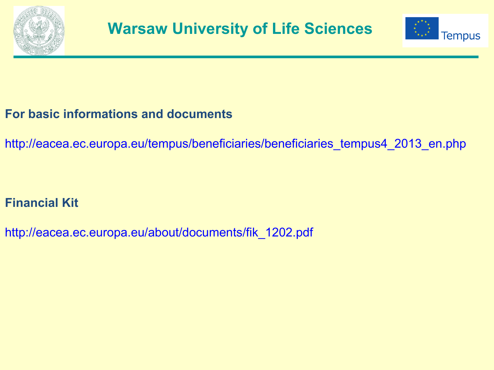



# **For basic informations and documents**

[http://eacea.ec.europa.eu/tempus/beneficiaries/beneficiaries\\_tempus4\\_2013\\_en.php](http://eacea.ec.europa.eu/tempus/beneficiaries/beneficiaries_tempus4_2013_en.php)

# **Financial Kit**

[http://eacea.ec.europa.eu/about/documents/fik\\_1202.pdf](http://eacea.ec.europa.eu/about/documents/fik_1202.pdf)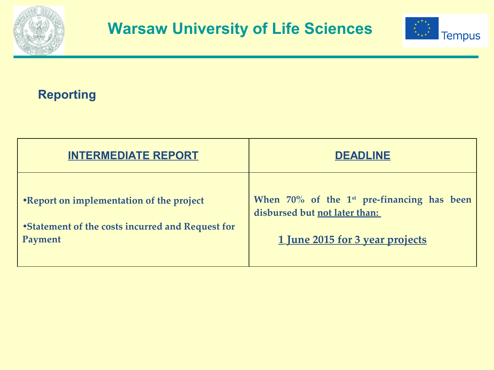



# **Reporting**

| <b>INTERMEDIATE REPORT</b>                       | <b>DEADLINE</b>                                        |
|--------------------------------------------------|--------------------------------------------------------|
| •Report on implementation of the project         | When 70% of the 1 <sup>st</sup> pre-financing has been |
| •Statement of the costs incurred and Request for | disbursed but not later than:                          |
| Payment                                          | 1 June 2015 for 3 year projects                        |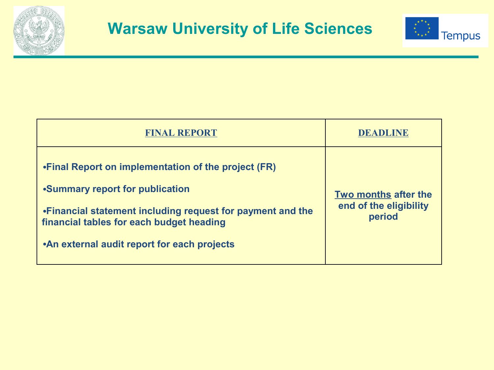



| <b>FINAL REPORT</b>                                                                                                                                                                                                                                | DEADLINE                                                 |
|----------------------------------------------------------------------------------------------------------------------------------------------------------------------------------------------------------------------------------------------------|----------------------------------------------------------|
| • Final Report on implementation of the project (FR)<br>•Summary report for publication<br>• Financial statement including request for payment and the<br>financial tables for each budget heading<br>• An external audit report for each projects | Two months after the<br>end of the eligibility<br>period |